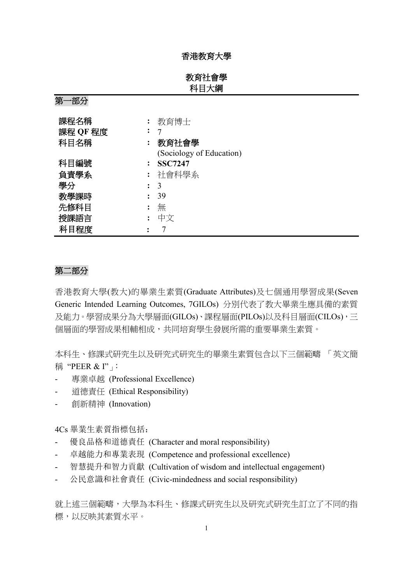## 香港教育大學

# 教育社會學 科目大綱

第一部分

| 課程名稱     | 教育博士                     |
|----------|--------------------------|
| 課程 QF 程度 |                          |
| 科目名稱     | 教育社會學                    |
|          | (Sociology of Education) |
| 科目編號     | <b>SSC7247</b>           |
| 負責學系     | 社會科學系                    |
| 學分       | 3                        |
| 教學課時     | 39                       |
| 先修科目     | 無                        |
| 授課語言     | 中文                       |
| 科目程度     |                          |

# 第二部分

香港教育大學(教大)的畢業生素質(Graduate Attributes)及七個通用學習成果(Seven Generic Intended Learning Outcomes, 7GILOs) 分別代表了教大畢業生應具備的素質 及能力。學習成果分為大學層面(GILOs)、課程層面(PILOs)以及科目層面(CILOs),三 個層面的學習成果相輔相成,共同培育學生發展所需的重要畢業生素質。

本科生、修課式研究生以及研究式研究生的畢業生素質包含以下三個範疇 「英文簡 稱 "PEER & I"」

- 專業卓越 (Professional Excellence)
- 道德責任 (Ethical Responsibility)
- 創新精神 (Innovation)

4Cs 畢業生素質指標包括:

- 優良品格和道德責任 (Character and moral responsibility)
- 卓越能力和專業表現 (Competence and professional excellence)
- 智慧提升和智力貢獻 (Cultivation of wisdom and intellectual engagement)
- 公民意識和社會責任 (Civic-mindedness and social responsibility)

就上述三個範疇,大學為本科生、修課式研究生以及研究式研究生訂立了不同的指 標,以反映其素質水平。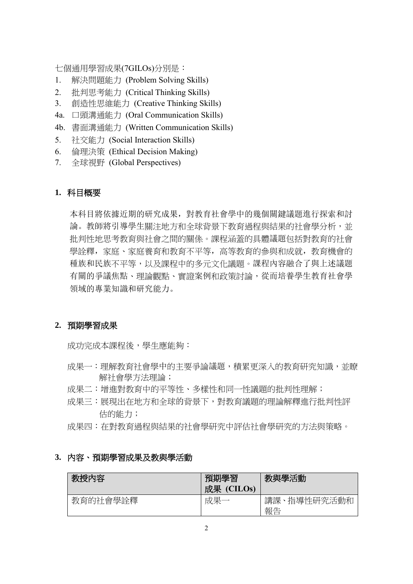七個通用學習成果(7GILOs)分別是:

- 1. 解決問題能力 (Problem Solving Skills)
- 2. 批判思考能力 (Critical Thinking Skills)
- 3. 創造性思維能力 (Creative Thinking Skills)
- 4a. 口頭溝通能力 (Oral Communication Skills)
- 4b. 書面溝通能力 (Written Communication Skills)
- 5. 社交能力 (Social Interaction Skills)
- 6. 倫理決策 (Ethical Decision Making)
- 7. 全球視野 (Global Perspectives)

## **1.** 科目概要

本科目將依據近期的研究成果,對教育社會學中的幾個關鍵議題進行探索和討 論。教師將引導學生關注地方和全球背景下教育過程與結果的社會學分析,並 批判性地思考教育與社會之間的關係。課程涵蓋的具體議題包括對教育的社會 學詮釋,家庭、家庭養育和教育不平等,高等教育的參與和成就,教育機會的 種族和民族不平等,以及課程中的多元文化議題。課程內容融合了與上述議題 有關的爭議焦點、理論觀點、實證案例和政策討論,從而培養學生教育社會學 領域的專業知識和研究能力。

# **2.** 預期學習成果

成功完成本課程後,學生應能夠:

- 成果一:理解教育社會學中的主要爭論議題,積累更深入的教育研究知識,並瞭 解社會學方法理論;
- 成果二:增進對教育中的平等性、多樣性和同一性議題的批判性理解;
- 成果三:展現出在地方和全球的背景下,對教育議題的理論解釋進行批判性評 估的能力;
- 成果四:在對教育過程與結果的社會學研究中評估社會學研究的方法與策略。

#### **3.** 內容、預期學習成果及教與學活動

| 教授内容     | 預期學習<br>成果 (CILOs) | 教與學活動                 |
|----------|--------------------|-----------------------|
| 教育的社會學詮釋 | 成果                 | 、指導性研究活動和<br>講課<br>報告 |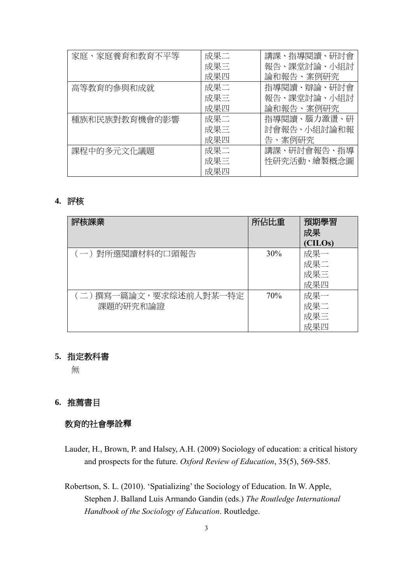| 家庭、家庭養育和教育不平等 | 成果二 | 講課、指導閱讀、研討會 |
|---------------|-----|-------------|
|               | 成果三 | 報告、課堂討論、小組討 |
|               | 成果四 | 論和報告、案例研究   |
| 高等教育的參與和成就    | 成果二 | 指導閱讀、辯論、研討會 |
|               | 成果三 | 報告、課堂討論、小組討 |
|               | 成果四 | 論和報告、案例研究   |
| 種族和民族對教育機會的影響 | 成果二 | 指導閱讀、腦力激盪、研 |
|               | 成果三 | 討會報告、小組討論和報 |
|               | 成果四 | 告、案例研究      |
| 課程中的多元文化議題    | 成果二 | 講課、研討會報告、指導 |
|               | 成果三 | 性研究活動、繪製概念圖 |
|               | 成果四 |             |

## **4.** 評核

| 評核課業                              | 所佔比重 | 預期學習<br>成果<br>(CILOs)    |
|-----------------------------------|------|--------------------------|
| (一)對所選閱讀材料的口頭報告                   | 30%  | 成果一<br>成果二<br>成果三<br>成果四 |
| (二)撰寫一篇論文,要求综述前人對某一特定<br>課題的研究和論證 | 70%  | 成果一<br>成果二<br>成果三<br>成果四 |

# **5.** 指定教科書

無

# **6.** 推薦書目

# 教育的社會學詮釋

- Lauder, H., Brown, P. and Halsey, A.H. (2009) Sociology of education: a critical history and prospects for the future. *Oxford Review of Education*, 35(5), 569-585.
- Robertson, S. L. (2010). 'Spatializing' the Sociology of Education. In W. Apple, Stephen J. Balland Luis Armando Gandin (eds.) *The Routledge International Handbook of the Sociology of Education*. Routledge.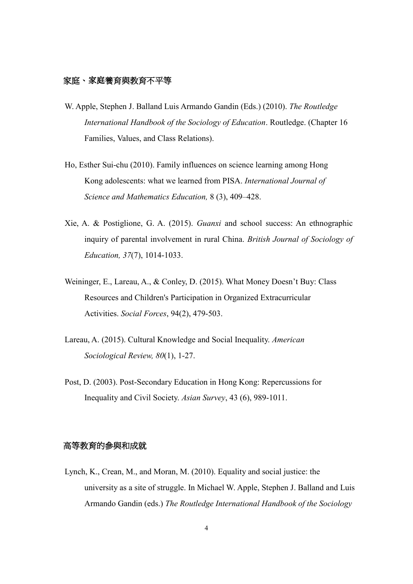### 家庭、家庭養育與教育不平等

- W. Apple, Stephen J. Balland Luis Armando Gandin (Eds.) (2010). *The Routledge International Handbook of the Sociology of Education*. Routledge. (Chapter 16 Families, Values, and Class Relations).
- Ho, Esther Sui-chu (2010). Family influences on science learning among Hong Kong adolescents: what we learned from PISA. *[International Journal of](https://link.springer.com/journal/10763)  [Science and](https://link.springer.com/journal/10763) [Mathematics Education,](https://link.springer.com/journal/10763)* 8 (3), 409–428.
- Xie, A. & Postiglione, G. A. (2015). *Guanxi* and school success: An ethnographic inquiry of parental involvement in rural China. *British Journal of Sociology of Education, 37*(7), 1014-1033.
- Weininger, E., Lareau, A., & Conley, D. (2015). What Money Doesn't Buy: Class Resources and Children's Participation in Organized Extracurricular Activities. *Social Forces*, 94(2), 479-503.
- Lareau, A. (2015). Cultural Knowledge and Social Inequality. *American Sociological Review, 80*(1), 1-27.
- Post, D. (2003). Post-Secondary Education in Hong Kong: Repercussions for Inequality and Civil Society. *Asian Survey*, 43 (6), 989-1011.

#### 高等教育的參與和成就

Lynch, K., Crean, M., and Moran, M. (2010). Equality and social justice: the university as a site of struggle. In Michael W. Apple, Stephen J. Balland and Luis Armando Gandin (eds.) *The Routledge International Handbook of the Sociology*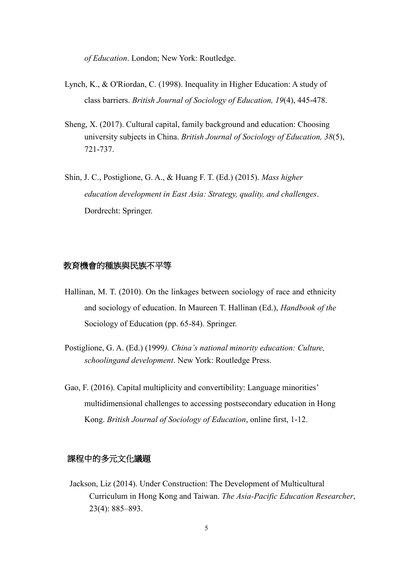*of Education*. London; New York: Routledge.

- Lynch, K., & O'Riordan, C. (1998). Inequality in Higher Education: A study of class barriers. *British Journal of Sociology of Education, 19*(4), 445-478.
- Sheng, X. (2017). Cultural capital, family background and education: Choosing university subjects in China. *British Journal of Sociology of Education, 38*(5), 721-737.
- Shin, J. C., Postiglione, G. A., & Huang F. T. (Ed.) (2015). *Mass higher education development in East Asia: Strategy, quality, and challenges*. Dordrecht: Springer.

### 教育機會的種族與民族不平等

- Hallinan, M. T. (2010). On the linkages between sociology of race and ethnicity and sociology of education. In Maureen T. Hallinan (Ed.), *Handbook of the* Sociology of Education (pp. 65-84). Springer.
- Postiglione, G. A. (Ed.) (1999*). China's national minority education: Culture, schoolingand development*. New York: Routledge Press.
- Gao, F. (2016). Capital multiplicity and convertibility: Language minorities' multidimensional challenges to accessing postsecondary education in Hong Kong. *British Journal of Sociology of Education*, online first, 1-12.

## 課程中的多元文化議題

Jackson, Liz (2014). Under Construction: The Development of Multicultural Curriculum in Hong Kong and Taiwan. *The Asia-Pacific Education Researcher*, 23(4): 885–893.